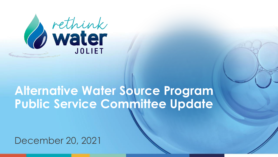

#### **Alternative Water Source Program Public Service Committee Update**

December 20, 2021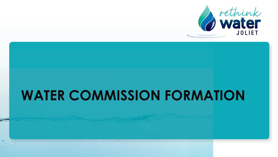

# **WATER COMMISSION FORMATION**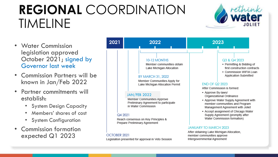# **REGIONAL** COORDINATION TIMELINE



- Water Commission legislation approved October 2021; signed by Governor last week
- Commission Partners will be known in Jan/Feb 2022
- Partner commitments will establish:
	- System Design Capacity
	- Members' shares of cost
	- System Configuration
- Commission formation expected Q1 2023

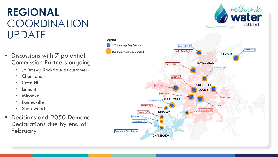#### **REGIONAL COORDINATION** UPDATE

- Discussions with 7 potential Commission Partners ongoing
	- Joliet (w/ Rockdale as customer)
	- Channahon
	- **Crest Hill**
	- **Lemont**
	- Minooka
	- **Romeoville**
	- Shorewood
- Decisions and 2050 Demand Declarations due by end of February





rethink<br>Water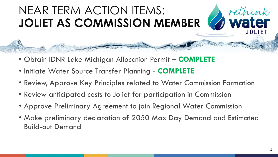### NEAR TERM ACTION ITEMS: **JOLIET AS COMMISSION MEMBER**

- Obtain IDNR Lake Michigan Allocation Permit **COMPLETE**
- Initiate Water Source Transfer Planning **COMPLETE**
- Review, Approve Key Principles related to Water Commission Formation
- Review anticipated costs to Joliet for participation in Commission
- Approve Preliminary Agreement to join Regional Water Commission
- Make preliminary declaration of 2050 Max Day Demand and Estimated Build-out Demand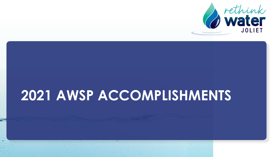

# **2021 AWSP ACCOMPLISHMENTS**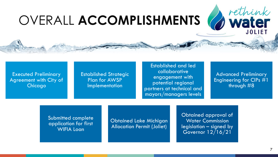# OVERALL **ACCOMPLISHMENTS**

Executed Preliminary Agreement with City of **Chicago** 

Established Strategic Plan for AWSP **Implementation** 

Established and led collaborative engagement with potential regional partners at technical and mayors/managers levels

Advanced Preliminary Engineering for CIPs #1 through #8

*d* rethink

Submitted complete application for first WIFIA Loan

Obtained Lake Michigan Allocation Permit (Joliet)

Obtained approval of Water Commission legislation – signed by Governor 12/16/21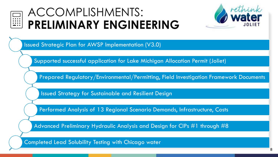

### ACCOMPLISHMENTS: **PRELIMINARY ENGINEERING**



Issued Strategic Plan for AWSP Implementation (V3.0)

Supported successful application for Lake Michigan Allocation Permit (Joliet)

Prepared Regulatory/Environmental/Permitting, Field Investigation Framework Documents

Issued Strategy for Sustainable and Resilient Design

Performed Analysis of 13 Regional Scenario Demands, Infrastructure, Costs

Advanced Preliminary Hydraulic Analysis and Design for CIPs #1 through #8

Completed Lead Solubility Testing with Chicago water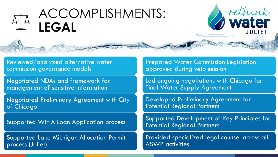## ACCOMPLISHMENTS: **LEGAL**

Reviewed/analyzed alternative water commission governance models

Negotiated NDAs and framework for management of sensitive information

Negotiated Preliminary Agreement with City of Chicago

Supported WIFIA Loan Application process

Supported Lake Michigan Allocation Permit process (Joliet)

Prepared Water Commission Legislation approved during veto session

Led ongoing negotiations with Chicago for Final Water Supply Agreement

Developed Preliminary Agreement for Potential Regional Partners

Supported Development of Key Principles for Potential Regional Partners

Provided specialized legal counsel across all ASWP activities

9

rethink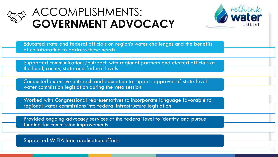

#### ACCOMPLISHMENTS: **GOVERNMENT ADVOCACY**



10

Educated state and federal officials on region's water challenges and the benefits of collaborating to address these needs

Supported communications/outreach with regional partners and elected officials at the local, county, state and federal levels

Conducted extensive outreach and education to support approval of state-level water commission legislation during the veto session

Worked with Congressional representatives to incorporate language favorable to regional water commissions into federal infrastructure legislation

Provided ongoing advocacy services at the federal level to identify and pursue funding for commission improvements

Supported WIFIA loan application efforts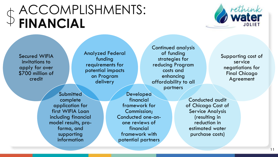# ACCOMPLISHMENTS: **FINANCIAL**



Secured WIFIA invitations to apply for over \$700 million of credit

Analyzed Federal funding requirements for potential impacts on Program delivery

**Submitted** complete application for first WIFIA Loan including financial model results, proforma, and supporting information

Developed financial framework for Commission; Conducted one-onone reviews of financial framework with potential partners

Continued analysis of funding strategies for reducing Program costs and enhancing affordability to all partners

Supporting cost of service negotiations for Final Chicago Agreement

11

Conducted audit of Chicago Cost of Service Analysis (resulting in reduction in estimated water purchase costs)